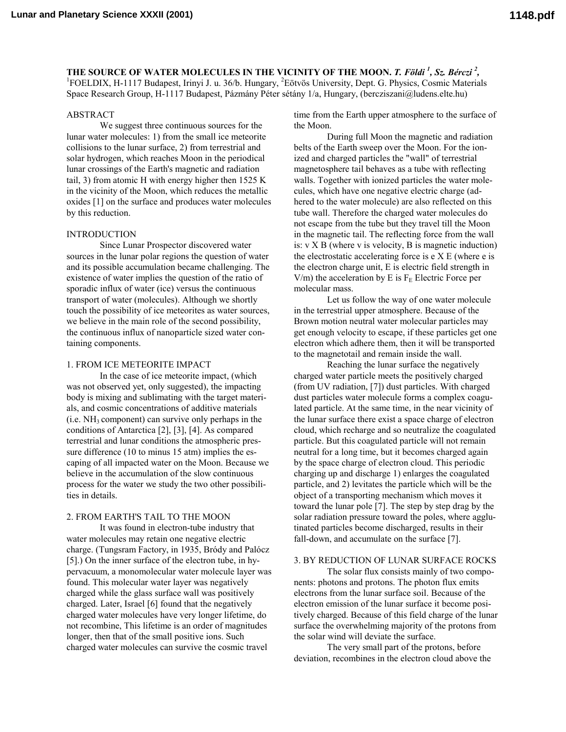**THE SOURCE OF WATER MOLECULES IN THE VICINITY OF THE MOON.** *T. Földi <sup>1</sup>, Sz. Bérczi* **<sup>2</sup>, <sup>1</sup><br><sup>1</sup>EOEL DIV. H. 1117 Budanest, Irinyi I. v. 36/b. Hungary, <sup>2</sup>Eötvös University, Dent. G. Physics. Cognic Meteric** FOELDIX, H-1117 Budapest, Irinyi J. u. 36/b. Hungary, <sup>2</sup>Eötvös University, Dept. G. Physics, Cosmic Materials Space Research Group, H-1117 Budapest, Pázmány Péter sétány 1/a, Hungary, (bercziszani@ludens.elte.hu)

### ABSTRACT

We suggest three continuous sources for the lunar water molecules: 1) from the small ice meteorite collisions to the lunar surface, 2) from terrestrial and solar hydrogen, which reaches Moon in the periodical lunar crossings of the Earth's magnetic and radiation tail, 3) from atomic H with energy higher then 1525 K in the vicinity of the Moon, which reduces the metallic oxides [1] on the surface and produces water molecules by this reduction.

# INTRODUCTION

Since Lunar Prospector discovered water sources in the lunar polar regions the question of water and its possible accumulation became challenging. The existence of water implies the question of the ratio of sporadic influx of water (ice) versus the continuous transport of water (molecules). Although we shortly touch the possibility of ice meteorites as water sources, we believe in the main role of the second possibility, the continuous influx of nanoparticle sized water containing components.

### 1. FROM ICE METEORITE IMPACT

In the case of ice meteorite impact, (which was not observed yet, only suggested), the impacting body is mixing and sublimating with the target materials, and cosmic concentrations of additive materials  $(i.e. NH<sub>3</sub> component)$  can survive only perhaps in the conditions of Antarctica [2], [3], [4]. As compared terrestrial and lunar conditions the atmospheric pressure difference (10 to minus 15 atm) implies the escaping of all impacted water on the Moon. Because we believe in the accumulation of the slow continuous process for the water we study the two other possibilities in details.

# 2. FROM EARTH'S TAIL TO THE MOON

It was found in electron-tube industry that water molecules may retain one negative electric charge. (Tungsram Factory, in 1935, Bródy and Palócz [5].) On the inner surface of the electron tube, in hypervacuum, a monomolecular water molecule layer was found. This molecular water layer was negatively charged while the glass surface wall was positively charged. Later, Israel [6] found that the negatively charged water molecules have very longer lifetime, do not recombine, This lifetime is an order of magnitudes longer, then that of the small positive ions. Such charged water molecules can survive the cosmic travel

time from the Earth upper atmosphere to the surface of the Moon.

During full Moon the magnetic and radiation belts of the Earth sweep over the Moon. For the ionized and charged particles the "wall" of terrestrial magnetosphere tail behaves as a tube with reflecting walls. Together with ionized particles the water molecules, which have one negative electric charge (adhered to the water molecule) are also reflected on this tube wall. Therefore the charged water molecules do not escape from the tube but they travel till the Moon in the magnetic tail. The reflecting force from the wall is:  $v \times B$  (where  $v$  is velocity,  $B$  is magnetic induction) the electrostatic accelerating force is  $e$  X E (where  $e$  is the electron charge unit, E is electric field strength in V/m) the acceleration by E is  $F_E$  Electric Force per molecular mass.

Let us follow the way of one water molecule in the terrestrial upper atmosphere. Because of the Brown motion neutral water molecular particles may get enough velocity to escape, if these particles get one electron which adhere them, then it will be transported to the magnetotail and remain inside the wall.

Reaching the lunar surface the negatively charged water particle meets the positively charged (from UV radiation, [7]) dust particles. With charged dust particles water molecule forms a complex coagulated particle. At the same time, in the near vicinity of the lunar surface there exist a space charge of electron cloud, which recharge and so neutralize the coagulated particle. But this coagulated particle will not remain neutral for a long time, but it becomes charged again by the space charge of electron cloud. This periodic charging up and discharge 1) enlarges the coagulated particle, and 2) levitates the particle which will be the object of a transporting mechanism which moves it toward the lunar pole [7]. The step by step drag by the solar radiation pressure toward the poles, where agglutinated particles become discharged, results in their fall-down, and accumulate on the surface [7].

# 3. BY REDUCTION OF LUNAR SURFACE ROCKS

The solar flux consists mainly of two components: photons and protons. The photon flux emits electrons from the lunar surface soil. Because of the electron emission of the lunar surface it become positively charged. Because of this field charge of the lunar surface the overwhelming majority of the protons from the solar wind will deviate the surface.

The very small part of the protons, before deviation, recombines in the electron cloud above the